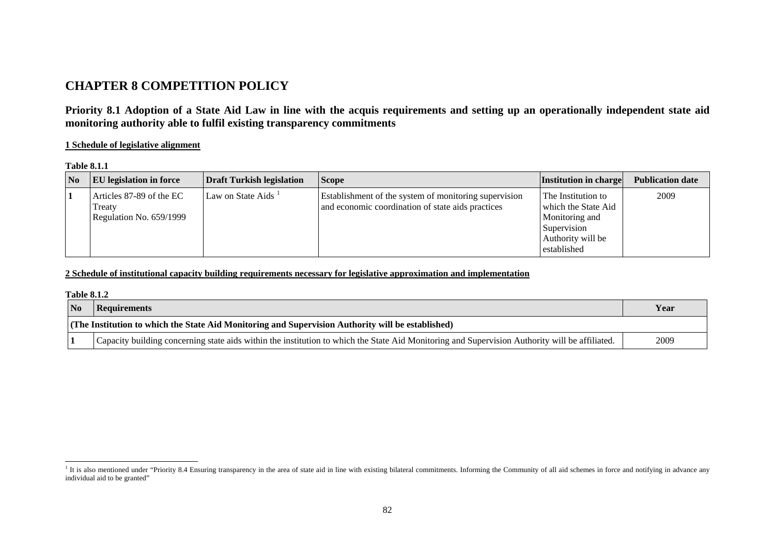# **CHAPTER 8 COMPETITION POLICY**

**Priority 8.1 Adoption of a State Aid Law in line with the acquis requirements and setting up an operationally independent state aid monitoring authority able to fulfil existing transparency commitments** 

### **1 Schedule of legislative alignment**

| <b>Table 8.1.1</b> |  |
|--------------------|--|
|--------------------|--|

| $\overline{\mathbf{N}}$ | <b>EU</b> legislation in force                                | <b>Draft Turkish legislation</b> | <b>Scope</b>                                                                                               | <b>Institution in charge</b>                                                                                   | <b>Publication date</b> |
|-------------------------|---------------------------------------------------------------|----------------------------------|------------------------------------------------------------------------------------------------------------|----------------------------------------------------------------------------------------------------------------|-------------------------|
|                         | Articles 87-89 of the EC<br>Treaty<br>Regulation No. 659/1999 | Law on State Aids <sup>1</sup>   | Establishment of the system of monitoring supervision<br>and economic coordination of state aids practices | The Institution to<br>which the State Aid<br>Monitoring and<br>Supervision<br>Authority will be<br>established | 2009                    |

### **2 Schedule of institutional capacity building requirements necessary for legislative approximation and implementation**

#### **Table 8.1.2**

| N <sub>o</sub>                                                                                    | <b>Requirements</b>                                                                                                                            | Year |  |
|---------------------------------------------------------------------------------------------------|------------------------------------------------------------------------------------------------------------------------------------------------|------|--|
| (The Institution to which the State Aid Monitoring and Supervision Authority will be established) |                                                                                                                                                |      |  |
|                                                                                                   | Capacity building concerning state aids within the institution to which the State Aid Monitoring and Supervision Authority will be affiliated. | 2009 |  |

<span id="page-0-0"></span><sup>&</sup>lt;sup>1</sup> It is also mentioned under "Priority 8.4 Ensuring transparency in the area of state aid in line with existing bilateral commitments. Informing the Community of all aid schemes in force and notifying in advance any individual aid to be granted"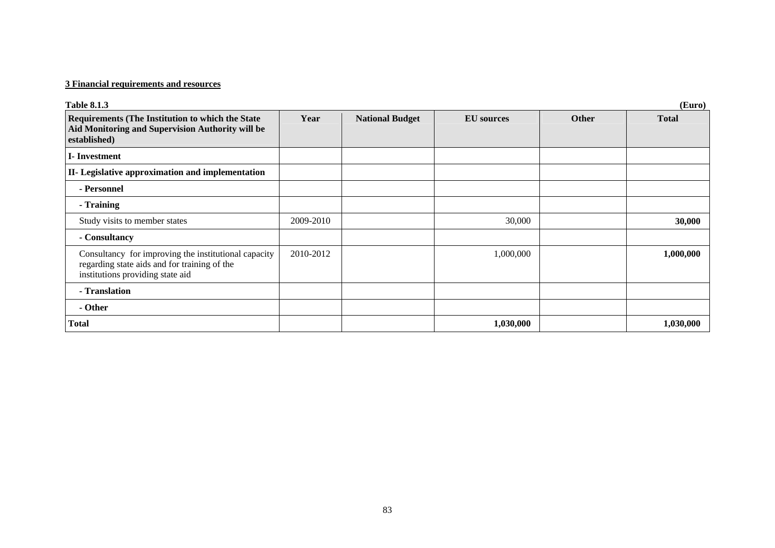## **3 Financial requirements and resources**

| <b>Table 8.1.3</b>                                                                                                                       |           |                        |                   |              | (Euro)       |
|------------------------------------------------------------------------------------------------------------------------------------------|-----------|------------------------|-------------------|--------------|--------------|
| <b>Requirements (The Institution to which the State)</b><br>Aid Monitoring and Supervision Authority will be<br>established)             | Year      | <b>National Budget</b> | <b>EU</b> sources | <b>Other</b> | <b>Total</b> |
| <b>I</b> -Investment                                                                                                                     |           |                        |                   |              |              |
| II- Legislative approximation and implementation                                                                                         |           |                        |                   |              |              |
| - Personnel                                                                                                                              |           |                        |                   |              |              |
| - Training                                                                                                                               |           |                        |                   |              |              |
| Study visits to member states                                                                                                            | 2009-2010 |                        | 30,000            |              | 30,000       |
| - Consultancy                                                                                                                            |           |                        |                   |              |              |
| Consultancy for improving the institutional capacity<br>regarding state aids and for training of the<br>institutions providing state aid | 2010-2012 |                        | 1,000,000         |              | 1,000,000    |
| - Translation                                                                                                                            |           |                        |                   |              |              |
| - Other                                                                                                                                  |           |                        |                   |              |              |
| <b>Total</b>                                                                                                                             |           |                        | 1,030,000         |              | 1,030,000    |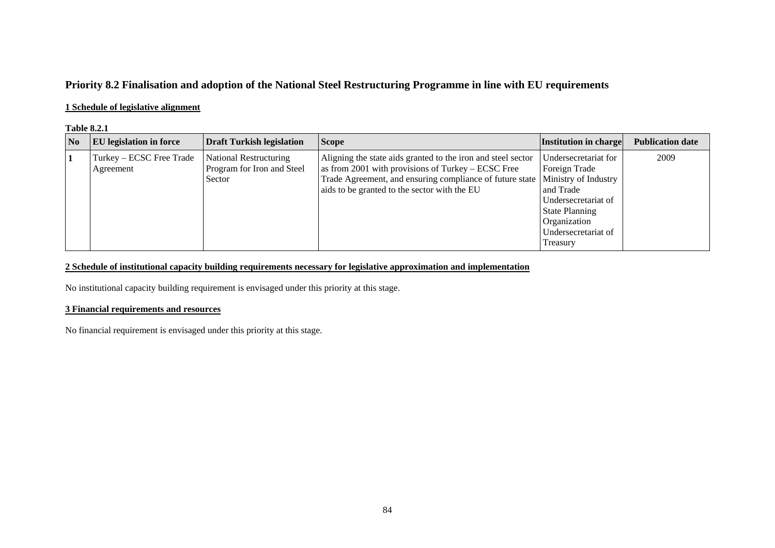## **Priority 8.2 Finalisation and adoption of the National Steel Restructuring Programme in line with EU requirements**

### **1 Schedule of legislative alignment**

#### **Table 8.2.1**

| $\overline{\text{No}}$ | <b>EU</b> legislation in force        | <b>Draft Turkish legislation</b>                               | <b>Scope</b>                                                                                                                                                                                                                   | Institution in charge                                                                                                                                                         | <b>Publication date</b> |
|------------------------|---------------------------------------|----------------------------------------------------------------|--------------------------------------------------------------------------------------------------------------------------------------------------------------------------------------------------------------------------------|-------------------------------------------------------------------------------------------------------------------------------------------------------------------------------|-------------------------|
| 1                      | Turkey – ECSC Free Trade<br>Agreement | National Restructuring<br>Program for Iron and Steel<br>Sector | Aligning the state aids granted to the iron and steel sector<br>as from 2001 with provisions of Turkey – ECSC Free<br>Trade Agreement, and ensuring compliance of future state<br>aids to be granted to the sector with the EU | Undersecretariat for<br>Foreign Trade<br>Ministry of Industry<br>and Trade<br>Undersecretariat of<br><b>State Planning</b><br>Organization<br>Undersecretariat of<br>Treasury | 2009                    |

## **2 Schedule of institutional capacity building requirements necessary for legislative approximation and implementation**

No institutional capacity building requirement is envisaged under this priority at this stage.

### **3 Financial requirements and resources**

No financial requirement is envisaged under this priority at this stage.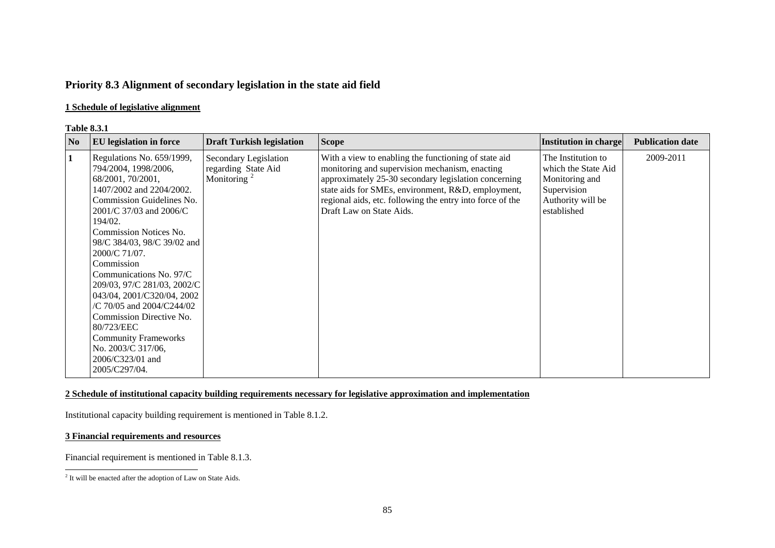## **Priority 8.3 Alignment of secondary legislation in the state aid field**

### **1 Schedule of legislative alignment**

#### **Table 8.3.1**

| N <sub>0</sub> | <b>EU</b> legislation in force                                                                                                                                                                                                                                                                                                                                                                                                                                                                                                | <b>Draft Turkish legislation</b>                                        | <b>Scope</b>                                                                                                                                                                                                                                                                                                  | Institution in charge                                                                                          | <b>Publication date</b> |
|----------------|-------------------------------------------------------------------------------------------------------------------------------------------------------------------------------------------------------------------------------------------------------------------------------------------------------------------------------------------------------------------------------------------------------------------------------------------------------------------------------------------------------------------------------|-------------------------------------------------------------------------|---------------------------------------------------------------------------------------------------------------------------------------------------------------------------------------------------------------------------------------------------------------------------------------------------------------|----------------------------------------------------------------------------------------------------------------|-------------------------|
|                | Regulations No. 659/1999,<br>794/2004, 1998/2006,<br>68/2001, 70/2001,<br>1407/2002 and 2204/2002.<br>Commission Guidelines No.<br>2001/C 37/03 and 2006/C<br>194/02.<br><b>Commission Notices No.</b><br>98/C 384/03, 98/C 39/02 and<br>2000/C 71/07.<br>Commission<br>Communications No. 97/C<br>209/03, 97/C 281/03, 2002/C<br>043/04, 2001/C320/04, 2002<br>/C 70/05 and 2004/C244/02<br>Commission Directive No.<br>80/723/EEC<br><b>Community Frameworks</b><br>No. 2003/C 317/06,<br>2006/C323/01 and<br>2005/C297/04. | Secondary Legislation<br>regarding State Aid<br>Monitoring <sup>2</sup> | With a view to enabling the functioning of state aid<br>monitoring and supervision mechanism, enacting<br>approximately 25-30 secondary legislation concerning<br>state aids for SMEs, environment, R&D, employment,<br>regional aids, etc. following the entry into force of the<br>Draft Law on State Aids. | The Institution to<br>which the State Aid<br>Monitoring and<br>Supervision<br>Authority will be<br>established | 2009-2011               |

### **2 Schedule of institutional capacity building requirements necessary for legislative approximation and implementation**

Institutional capacity building requirement is mentioned in Table 8.1.2.

## **3 Financial requirements and resources**

Financial requirement is mentioned in Table 8.1.3.

<span id="page-3-0"></span><sup>&</sup>lt;sup>2</sup> It will be enacted after the adoption of Law on State Aids.